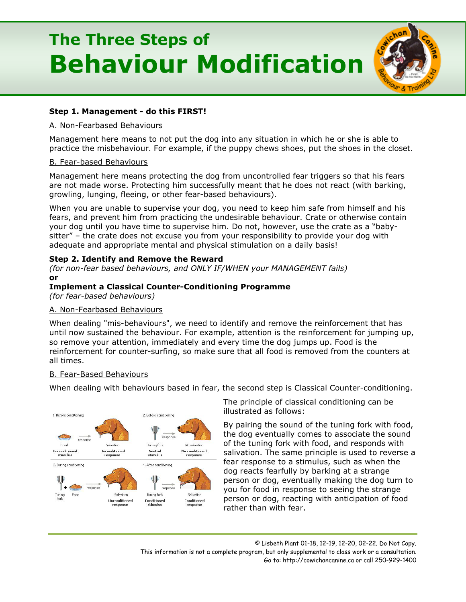# **The Three Steps of Behaviour Modification**



# **Step 1. Management - do this FIRST!**

#### A. Non-Fearbased Behaviours

Management here means to not put the dog into any situation in which he or she is able to practice the misbehaviour. For example, if the puppy chews shoes, put the shoes in the closet.

#### B. Fear-based Behaviours

Management here means protecting the dog from uncontrolled fear triggers so that his fears are not made worse. Protecting him successfully meant that he does not react (with barking, growling, lunging, fleeing, or other fear-based behaviours).

When you are unable to supervise your dog, you need to keep him safe from himself and his fears, and prevent him from practicing the undesirable behaviour. Crate or otherwise contain your dog until you have time to supervise him. Do not, however, use the crate as a "babysitter" – the crate does not excuse you from your responsibility to provide your dog with adequate and appropriate mental and physical stimulation on a daily basis!

## **Step 2. Identify and Remove the Reward**

*(for non-fear based behaviours, and ONLY IF/WHEN your MANAGEMENT fails)* **or** 

## **Implement a Classical Counter-Conditioning Programme**

*(for fear-based behaviours)*

## A. Non-Fearbased Behaviours

When dealing "mis-behaviours", we need to identify and remove the reinforcement that has until now sustained the behaviour. For example, attention is the reinforcement for jumping up, so remove your attention, immediately and every time the dog jumps up. Food is the reinforcement for counter-surfing, so make sure that all food is removed from the counters at all times.

## B. Fear-Based Behaviours

When dealing with behaviours based in fear, the second step is Classical Counter-conditioning.



The principle of classical conditioning can be illustrated as follows:

By pairing the sound of the tuning fork with food, the dog eventually comes to associate the sound of the tuning fork with food, and responds with salivation. The same principle is used to reverse a fear response to a stimulus, such as when the dog reacts fearfully by barking at a strange person or dog, eventually making the dog turn to you for food in response to seeing the strange person or dog, reacting with anticipation of food rather than with fear.

© Lisbeth Plant 01-18, 12-19, 12-20, 02-22. Do Not Copy. This information is not a complete program, but only supplemental to class work or a consultation. Go to: http://cowichancanine.ca or call 250-929-1400